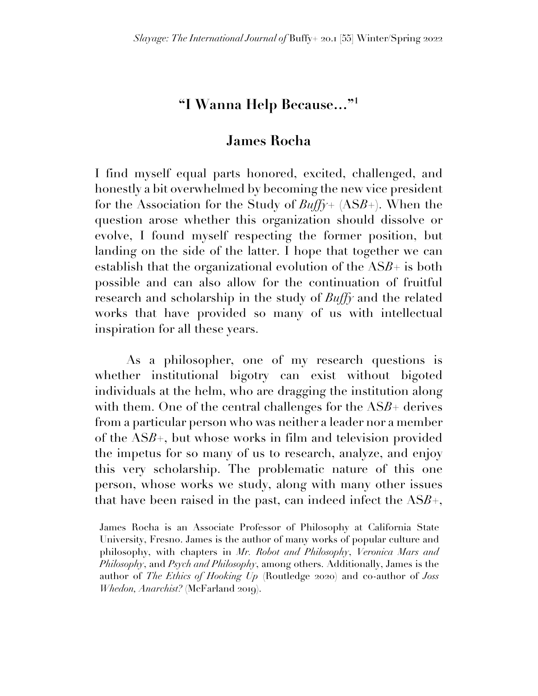## **"I Wanna Help Because…"1**

## **James Rocha**

I find myself equal parts honored, excited, challenged, and honestly a bit overwhelmed by becoming the new vice president for the Association for the Study of *Buffy*+ (AS*B*+). When the question arose whether this organization should dissolve or evolve, I found myself respecting the former position, but landing on the side of the latter. I hope that together we can establish that the organizational evolution of the AS*B*+ is both possible and can also allow for the continuation of fruitful research and scholarship in the study of *Buffy* and the related works that have provided so many of us with intellectual inspiration for all these years.

As a philosopher, one of my research questions is whether institutional bigotry can exist without bigoted individuals at the helm, who are dragging the institution along with them. One of the central challenges for the AS*B*+ derives from a particular person who was neither a leader nor a member of the AS*B*+, but whose works in film and television provided the impetus for so many of us to research, analyze, and enjoy this very scholarship. The problematic nature of this one person, whose works we study, along with many other issues that have been raised in the past, can indeed infect the AS*B*+,

James Rocha is an Associate Professor of Philosophy at California State University, Fresno. James is the author of many works of popular culture and philosophy, with chapters in *Mr. Robot and Philosophy*, *Veronica Mars and Philosophy*, and *Psych and Philosophy*, among others. Additionally, James is the author of *The Ethics of Hooking Up* (Routledge 2020) and co-author of *Joss Whedon, Anarchist?* (McFarland 2019).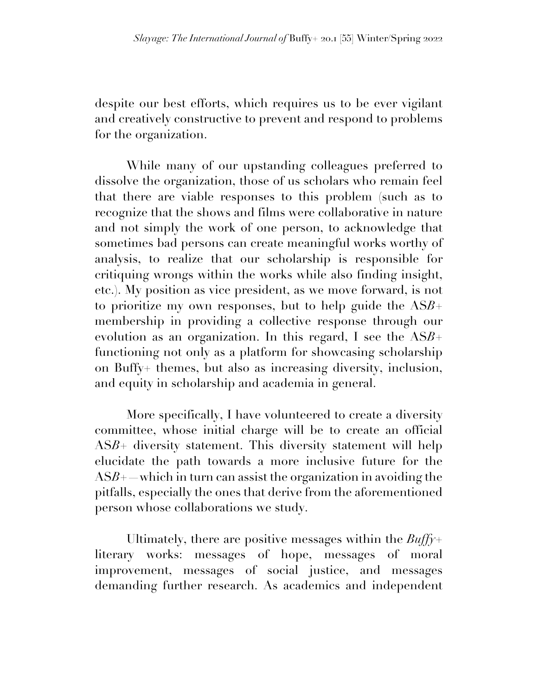despite our best efforts, which requires us to be ever vigilant and creatively constructive to prevent and respond to problems for the organization.

While many of our upstanding colleagues preferred to dissolve the organization, those of us scholars who remain feel that there are viable responses to this problem (such as to recognize that the shows and films were collaborative in nature and not simply the work of one person, to acknowledge that sometimes bad persons can create meaningful works worthy of analysis, to realize that our scholarship is responsible for critiquing wrongs within the works while also finding insight, etc.). My position as vice president, as we move forward, is not to prioritize my own responses, but to help guide the AS*B*+ membership in providing a collective response through our evolution as an organization. In this regard, I see the AS*B*+ functioning not only as a platform for showcasing scholarship on Buffy+ themes, but also as increasing diversity, inclusion, and equity in scholarship and academia in general.

More specifically, I have volunteered to create a diversity committee, whose initial charge will be to create an official ASB<sup>+</sup> diversity statement. This diversity statement will help elucidate the path towards a more inclusive future for the  $ASB+$ —which in turn can assist the organization in avoiding the pitfalls, especially the ones that derive from the aforementioned person whose collaborations we study.

Ultimately, there are positive messages within the *Buffy*+ literary works: messages of hope, messages of moral improvement, messages of social justice, and messages demanding further research. As academics and independent